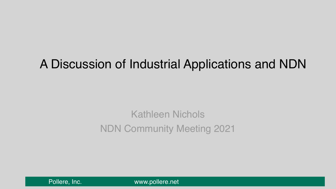# A Discussion of Industrial Applications and NDN

# Kathleen Nichols NDN Community Meeting 2021

[Pollere, Inc.](http://www.pollere.net) Www.pollere.net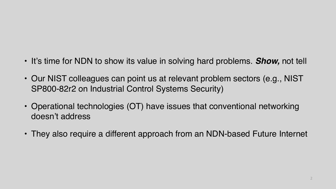- It's time for NDN to show its value in solving hard problems. *Show,* not tell
- Our NIST colleagues can point us at relevant problem sectors (e.g., NIST SP800-82r2 on Industrial Control Systems Security)
- Operational technologies (OT) have issues that conventional networking doesn't address
- They also require a different approach from an NDN-based Future Internet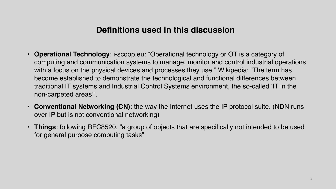#### **Definitions used in this discussion**

**Operational Technology**: [i-scoop.eu](http://i-scoop.eu): "Operational technology or OT is a category of computing and communication systems to manage, monitor and control industrial operations with a focus on the physical devices and processes they use." Wikipedia: "The term has become established to demonstrate the technological and functional differences between traditional IT systems and Industrial Control Systems environment, the so-called 'IT in the

• **Conventional Networking (CN)**: the way the Internet uses the IP protocol suite. (NDN runs

- non-carpeted areas'".
- over IP but is not conventional networking)
- for general purpose computing tasks"

• **Things**: following RFC8520, "a group of objects that are specifically not intended to be used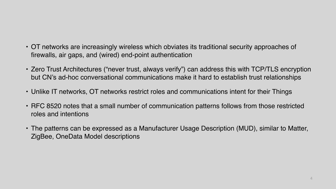- OT networks are increasingly wireless which obviates its traditional security approaches of firewalls, air gaps, and (wired) end-point authentication
- Zero Trust Architectures ("never trust, always verify") can address this with TCP/TLS encryption but CN's ad-hoc conversational communications make it hard to establish trust relationships
- Unlike IT networks, OT networks restrict roles and communications intent for their Things
- RFC 8520 notes that a small number of communication patterns follows from those restricted roles and intentions
- The patterns can be expressed as a Manufacturer Usage Description (MUD), similar to Matter, ZigBee, OneData Model descriptions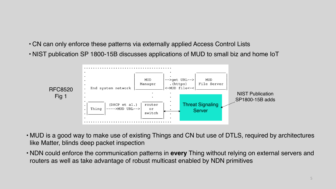- CN can only enforce these patterns via externally applied Access Control Lists
- NIST publication SP 1800-15B discusses applications of MUD to small biz and home IoT



• MUD is a good way to make use of existing Things and CN but use of DTLS, required by architectures

• NDN could enforce the communication patterns in **every** Thing without relying on external servers and

- like Matter, blinds deep packet inspection
- routers as well as take advantage of robust multicast enabled by NDN primitives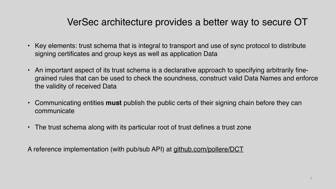### VerSec architecture provides a better way to secure OT

• Key elements: trust schema that is integral to transport and use of sync protocol to distribute

• An important aspect of its trust schema is a declarative approach to specifying arbitrarily finegrained rules that can be used to check the soundness, construct valid Data Names and enforce

- signing certificates and group keys as well as application Data
- the validity of received Data
- communicate
- The trust schema along with its particular root of trust defines a trust zone

• Communicating entities **must** publish the public certs of their signing chain before they can

A reference implementation (with pub/sub API) at [github.com/pollere/DCT](http://github.com/pollere/DCT)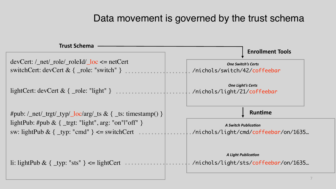#### Data movement is governed by the trust schema



devCert: /\_net/\_role/\_roleId/\_loc <= netCert switchCert: devCert & { \_role: "switch" }

lightCert: devCert & { \_role: "light" }

#pub:  $\angle$  net/\_trgt/\_typ/\_loc/arg/\_ts & { \_ts: timestamp() } lightPub: #pub &  $\{$  \_trgt: "light", arg: "on"|"off"  $\}$ sw: lightPub &  $\{$  \_typ: "cmd" } <= switchCert

li: lightPub &  $\{$  \_typ: "sts"  $\}$  <= lightCert



#### **Trust Schema**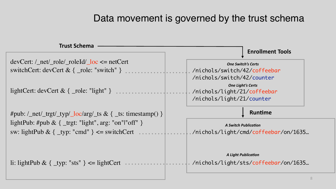#### Data movement is governed by the trust schema



devCert: /\_net/\_role/\_roleId/\_loc <= netCert switchCert: devCert & { \_role: "switch" }

lightCert: devCert & { \_role: "light" }

#pub:  $\angle$  net/\_trgt/\_typ/\_loc/arg/\_ts & { \_ts: timestamp() } lightPub: #pub &  $\{$  \_trgt: "light", arg: "on"|"off"  $\}$ sw: lightPub &  $\{$  \_typ: "cmd"  $\}$  <= switchCert

li: lightPub &  $\{$  \_typ: "sts"  $\}$  <= lightCert



#### **Trust Schema**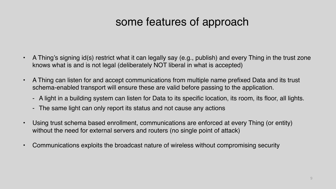## some features of approach

- A Thing's signing id(s) restrict what it can legally say (e.g., publish) and every Thing in the trust zone knows what is and is not legal (deliberately NOT liberal in what is accepted)
- A Thing can listen for and accept communications from multiple name prefixed Data and its trust schema-enabled transport will ensure these are valid before passing to the application.
	- A light in a building system can listen for Data to its specific location, its room, its floor, all lights.
	- The same light can only report its status and not cause any actions
- Using trust schema based enrollment, communications are enforced at every Thing (or entity) without the need for external servers and routers (no single point of attack)
- Communications exploits the broadcast nature of wireless without compromising security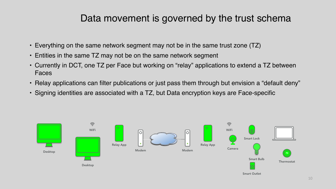- Everything on the same network segment may not be in the same trust zone (TZ)
- Entities in the same TZ may not be on the same network segment
- Currently in DCT, one TZ per Face but working on "relay" applications to extend a TZ between Faces
- Relay applications can filter publications or just pass them through but envision a "default deny" • Signing identities are associated with a TZ, but Data encryption keys are Face-specific
- 

#### Data movement is governed by the trust schema

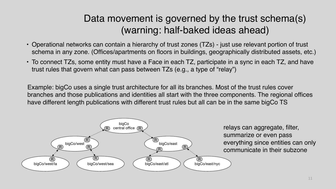• Operational networks can contain a hierarchy of trust zones (TZs) - just use relevant portion of trust schema in any zone. (Offices/apartments on floors in buildings, geographically distributed assets, etc.) • To connect TZs, some entity must have a Face in each TZ, participate in a sync in each TZ, and have

- 
- trust rules that govern what can pass between TZs (e.g., a type of "relay")



### Data movement is governed by the trust schema(s) (warning: half-baked ideas ahead)

Example: bigCo uses a single trust architecture for all its branches. Most of the trust rules cover branches and those publications and identities all start with the three components. The regional offices have different length publications with different trust rules but all can be in the same bigCo TS



relays can aggregate, filter, summarize or even pass everything since entities can only communicate in their subzone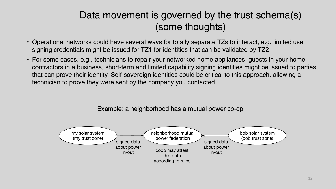• Operational networks could have several ways for totally separate TZs to interact, e.g. limited use

• For some cases, e.g., technicians to repair your networked home appliances, guests in your home, contractors in a business, short-term and limited capability signing identities might be issued to parties that can prove their identity. Self-sovereign identities could be critical to this approach, allowing a

- signing credentials might be issued for TZ1 for identities that can be validated by TZ2
- technician to prove they were sent by the company you contacted

### Data movement is governed by the trust schema(s) (some thoughts)